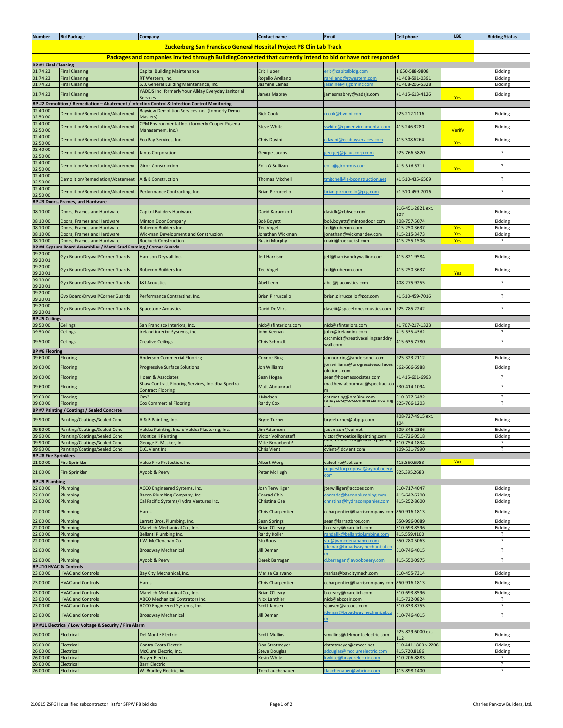| <b>Number</b>                                           | <b>Bid Package</b>                                                 | Company                                                                                                     | <b>Contact name</b>        | <b>Email</b>                     | <b>Cell phone</b>   | LBE           | <b>Bidding Status</b> |  |  |
|---------------------------------------------------------|--------------------------------------------------------------------|-------------------------------------------------------------------------------------------------------------|----------------------------|----------------------------------|---------------------|---------------|-----------------------|--|--|
|                                                         |                                                                    |                                                                                                             |                            |                                  |                     |               |                       |  |  |
|                                                         |                                                                    | Zuckerberg San Francisco General Hospital Project P8 Clin Lab Track                                         |                            |                                  |                     |               |                       |  |  |
|                                                         |                                                                    | Packages and companies invited through BuildingConnected that currently intend to bid or have not responded |                            |                                  |                     |               |                       |  |  |
| <b>BP #1 Final Cleaning</b>                             |                                                                    |                                                                                                             |                            |                                  |                     |               |                       |  |  |
| 01 74 23                                                | <b>Final Cleaning</b>                                              | <b>Capital Building Maintenance</b>                                                                         | Eric Huber                 | ric@capitalbldg.com              | 1650-588-9808       |               | Bidding               |  |  |
| 01 74 23                                                | <b>Final Cleaning</b>                                              | RT Western, Inc.                                                                                            | Rogello Arellano           | arellano@rtwestern.com           | +1 408-591-0391     |               | Bidding               |  |  |
| 01 74 23                                                | <b>Final Cleaning</b>                                              | S. J. General Building Maintenance, Inc.                                                                    | lasmine Lamas              | asminel@sjgbminc.com             | +1 408-206-5328     |               | Bidding               |  |  |
|                                                         |                                                                    | YADEJS Inc. formerly Your Allday Everyday Janitorial                                                        |                            |                                  |                     |               |                       |  |  |
| 01 74 23                                                | <b>Final Cleaning</b>                                              | Services                                                                                                    | James Mabrey               | jamesmabrey@yadejs.com           | +1 415-613-4126     | Yes           | Bidding               |  |  |
|                                                         |                                                                    | BP #2 Demolition / Remediation - Abatement / Infection Control & Infection Control Monitoring               |                            |                                  |                     |               |                       |  |  |
| 02 40 00                                                |                                                                    | Bayview Demolition Services Inc. (formerly Demo                                                             |                            |                                  |                     |               |                       |  |  |
| 02 50 00                                                | Demolition/Remediation/Abatement                                   | Masters)                                                                                                    | <b>Rich Cook</b>           | cook@bvdmi.com                   | 925.212.1116        |               | Bidding               |  |  |
| 02 40 00                                                |                                                                    | CPM Environmental Inc. (formerly Cooper Pugeda                                                              |                            |                                  |                     |               |                       |  |  |
| 02 50 00                                                | Demolition/Remediation/Abatement                                   | Management, Inc.)                                                                                           | <b>Steve White</b>         | white@cpmenvironmental.com       | 415.246.3280        | <b>Verify</b> | Bidding               |  |  |
| 02 40 00                                                |                                                                    |                                                                                                             | Chris Davini               |                                  | 415.308.6264        |               |                       |  |  |
| 02 50 00                                                | Demolition/Remediation/Abatement                                   | Eco Bay Services, Inc.                                                                                      |                            | cdavini@ecobayservices.com       |                     | Yes           | Bidding               |  |  |
| 02 40 00                                                | Demolition/Remediation/Abatement                                   | Janus Corporation                                                                                           | George Jacobs              | zeorgej@januscorp.com            | 925-766-5820        |               | ?                     |  |  |
| 02 50 00                                                |                                                                    |                                                                                                             |                            |                                  |                     |               |                       |  |  |
| 02 40 00                                                | Demolition/Remediation/Abatement                                   | <b>Giron Construction</b>                                                                                   | Eoin O'Sullivan            | eoin@gironcms.com                | 415-316-5711        |               | ?                     |  |  |
| 02 50 00                                                |                                                                    |                                                                                                             |                            |                                  |                     | Yes           |                       |  |  |
| 02 40 00                                                | Demolition/Remediation/Abatement                                   | A & B Construction                                                                                          | <b>Thomas Mitchell</b>     | mitchell@a-bconstruction.net     | +1 510-435-6569     |               | ?                     |  |  |
| 02 50 00                                                |                                                                    |                                                                                                             |                            |                                  |                     |               |                       |  |  |
| 02 40 00                                                | Demolition/Remediation/Abatement                                   | Performance Contracting, Inc.                                                                               | <b>Brian Pirruccello</b>   | brian.pirruccello@pcg.com        | +1 510-459-7016     |               | $\overline{\cdot}$    |  |  |
| 02 50 00                                                |                                                                    |                                                                                                             |                            |                                  |                     |               |                       |  |  |
|                                                         | BP #3 Doors, Frames, and Hardware                                  |                                                                                                             |                            |                                  |                     |               |                       |  |  |
| 08 10 00                                                | Doors, Frames and Hardware                                         | Capitol Builders Hardware                                                                                   | David Karacozoff           | davidk@cbhsec.com                | 916-451-2821 ext.   |               | Bidding               |  |  |
|                                                         |                                                                    |                                                                                                             |                            |                                  | 107                 |               |                       |  |  |
| 08 10 00                                                | Doors, Frames and Hardware                                         | <b>Minton Door Company</b>                                                                                  | <b>Bob Boyett</b>          | bob.boyett@mintondoor.com        | 408-757-5074        |               | Bidding               |  |  |
| 08 10 00                                                | Doors, Frames and Hardware                                         | Rubecon Builders Inc                                                                                        | <b>Ted Vogel</b>           | ed@rubecon.com                   | 415-250-3637        | Yes           | Bidding               |  |  |
| 08 10 00                                                | Doors, Frames and Hardware                                         | Wickman Development and Construction                                                                        | Ionathan Wickman           | onathan@wickmandev.com           | 415-215-3473        | Yes           | Bidding               |  |  |
| 08 10 00                                                | Doors, Frames and Hardware                                         | <b>Roebuck Construction</b>                                                                                 | <b>Ruairi Murphy</b>       | ruairi@roebucksf.com             | 415-255-1506        | Yes           | $\cdot$               |  |  |
|                                                         | BP #4 Gypsum Board Assemblies / Metal Stud Framing / Corner Guards |                                                                                                             |                            |                                  |                     |               |                       |  |  |
| 09 20 00                                                | Gyp Board/Drywall/Corner Guards                                    | Harrison Drywall Inc.                                                                                       | Jeff Harrison              | jeff@harrisondrywallinc.com      | 415-821-9584        |               | Bidding               |  |  |
| 09 20 01                                                |                                                                    |                                                                                                             |                            |                                  |                     |               |                       |  |  |
| 09 20 00                                                | Gyp Board/Drywall/Corner Guards                                    | Rubecon Builders Inc.                                                                                       | <b>Ted Vogel</b>           | ed@rubecon.com                   | 415-250-3637        |               | Bidding               |  |  |
| 09 20 01                                                |                                                                    |                                                                                                             |                            |                                  |                     | Yes           |                       |  |  |
| 09 20 00                                                | Gyp Board/Drywall/Corner Guards                                    | <b>J&amp;J Acoustics</b>                                                                                    | Abel Leon                  | abel@jjacoustics.com             | 408-275-9255        |               | ?                     |  |  |
| 09 20 01                                                |                                                                    |                                                                                                             |                            |                                  |                     |               |                       |  |  |
| 09 20 00                                                | Gyp Board/Drywall/Corner Guards                                    | Performance Contracting, Inc.                                                                               | <b>Brian Pirruccello</b>   | brian.pirruccello@pcg.com        | +1 510-459-7016     |               | ?                     |  |  |
| 09 20 01                                                |                                                                    |                                                                                                             |                            |                                  |                     |               |                       |  |  |
| 09 20 00                                                | Gyp Board/Drywall/Corner Guards                                    | <b>Spacetone Acoustics</b>                                                                                  | <b>David DeMars</b>        | daveiii@spacetoneacoustics.com   | 925-785-2242        |               | ?                     |  |  |
| 09 20 01                                                |                                                                    |                                                                                                             |                            |                                  |                     |               |                       |  |  |
| <b>BP #5 Ceilings</b>                                   |                                                                    |                                                                                                             |                            |                                  |                     |               |                       |  |  |
| 09 50 00                                                | Ceilings                                                           | San Francisco Interiors, Inc.                                                                               | nick@sfinteriors.com       | nick@sfinteriors.com             | +1 707-217-1323     |               | Bidding               |  |  |
| 09 50 00                                                | Ceilings                                                           | reland Interior Systems, Inc.                                                                               | John Keenan                | john@irelandint.com              | 415-533-4362        |               | ?                     |  |  |
| 09 50 00                                                | Ceilings                                                           | <b>Creative Ceilings</b>                                                                                    | <b>Chris Schmidt</b>       | cschmidt@creativeceilingsanddry  | 415-635-7780        |               | ?                     |  |  |
|                                                         |                                                                    |                                                                                                             |                            | wall.com                         |                     |               |                       |  |  |
| <b>BP #6 Flooring</b>                                   |                                                                    |                                                                                                             |                            |                                  |                     |               |                       |  |  |
| 09 60 00                                                | Flooring                                                           | <b>Anderson Commercial Flooring</b>                                                                         | <b>Connor Ring</b>         | connor.ring@andersoncf.com       | 925-323-2112        |               | Bidding               |  |  |
| 09 60 00                                                | Flooring                                                           | <b>Progressive Surface Solutions</b>                                                                        | Jon Williams               | jon.williams@progressivesurfaces | 562-666-6988        |               | Bidding               |  |  |
|                                                         |                                                                    |                                                                                                             |                            | olutions.com                     |                     |               |                       |  |  |
| 09 60 00                                                | Flooring                                                           | Hoem & Associates                                                                                           | Sean Hogan                 | sean@hoemassociates.com          | +1 415-601-6993     |               | ?                     |  |  |
| 09 60 00                                                | Flooring                                                           | Shaw Contract Flooring Services, Inc. dba Spectra                                                           | Matt Aboumrad              | matthew.aboumrad@spectracf.co    | 530-414-1094        |               | ?                     |  |  |
| 09 60 00                                                |                                                                    | Contract Flooring<br>Om <sub>3</sub>                                                                        |                            |                                  | 510-377-5482        |               | $\overline{?}$        |  |  |
| 09 60 00                                                | Flooring                                                           | <b>Cox Commercial Flooring</b>                                                                              | Madsen<br><b>Randy Cox</b> | estimating@om3inc.com            | 925-766-1203        |               | ?                     |  |  |
|                                                         | Flooring                                                           |                                                                                                             |                            |                                  |                     |               |                       |  |  |
|                                                         | BP #7 Painting / Coatings / Sealed Concrete                        |                                                                                                             |                            |                                  | 408-727-4915 ext.   |               |                       |  |  |
| 09 90 00                                                | Painting/Coatings/Sealed Conc                                      | A & B Painting, Inc.                                                                                        | <b>Bryce Turner</b>        | bryceturner@abptg.com            | 104                 |               | Bidding               |  |  |
| 09 90 00                                                | Painting/Coatings/Sealed Conc                                      | Valdez Painting, Inc. & Valdez Plastering, Inc.                                                             | im Adamson                 | jadamson@vpi.net                 | 209-346-2386        |               | Bidding               |  |  |
| 09 90 00                                                | Painting/Coatings/Sealed Conc                                      | <b>Monticelli Painting</b>                                                                                  | Victor Volhonsteff         | victor@monticellipainting.com    | 415-726-0518        |               | Bidding               |  |  |
| 09 90 00                                                | Painting/Coatings/Sealed Conc                                      | George E. Masker, Inc.                                                                                      | Mike Broadbent?            | aupent@maskerpamting             | 510-754-1834        |               | ς                     |  |  |
| 09 90 00                                                | Painting/Coatings/Sealed Conc                                      | D.C. Vient Inc.                                                                                             | <b>Chris Vient</b>         | cvient@dcvient.com               | 209-531-7990        |               | ?                     |  |  |
| <b>BP #8 Fire Sprinklers</b>                            |                                                                    |                                                                                                             |                            |                                  |                     |               |                       |  |  |
| 21 00 00                                                | <b>Fire Sprinkler</b>                                              | Value Fire Protection, Inc.                                                                                 | Albert Wong                | valuefire@aol.com                | 415.850.5983        | Yes           |                       |  |  |
|                                                         |                                                                    |                                                                                                             |                            | equestforproposal@ayoobpeery     |                     |               |                       |  |  |
| 21 00 00                                                | <b>Fire Sprinkler</b>                                              | Ayoob & Peery                                                                                               | Peter McHugh               | <b>com</b>                       | 925.395.2683        |               |                       |  |  |
| <b>BP #9 Plumbing</b>                                   |                                                                    |                                                                                                             |                            |                                  |                     |               |                       |  |  |
| 22 00 00                                                | Plumbing                                                           | ACCO Engineered Systems, Inc.                                                                               | Josh Terwilliger           | jterwilliger@accoes.com          | 510-717-4047        |               | Bidding               |  |  |
| 22 00 00                                                | Plumbing                                                           | Bacon Plumbing Company, Inc.                                                                                | Conrad Chin                | conradc@baconplumbing.com        | 415-642-6200        |               | Bidding               |  |  |
| 22 00 00                                                | Plumbing                                                           | Cal Pacific Systems/Hydra Ventures Inc.                                                                     | Christina Gee              | christina@hydracompanies.com     | 415-252-8600        |               | Bidding               |  |  |
|                                                         |                                                                    |                                                                                                             |                            |                                  |                     |               |                       |  |  |
| 22 00 00                                                | Plumbing                                                           | Harris                                                                                                      | <b>Chris Charpentier</b>   | ccharpentier@harriscompany.com   | 860-916-1813        |               | Bidding               |  |  |
| 22 00 00                                                | Plumbing                                                           | Larratt Bros. Plumbing, Inc.                                                                                | Sean Springs               | sean@larrattbros.com             | 650-996-0089        |               | Bidding               |  |  |
| 22 00 00                                                | Plumbing                                                           | Marelich Mechanical Co., Inc.                                                                               | <b>Brian O'Leary</b>       | b.oleary@marelich.com            | 510-693-8596        |               | Bidding               |  |  |
| 22 00 00                                                | Plumbing                                                           | Bellanti Plumbing Inc.                                                                                      | Randy Koller               | andallk@bellantiplumbing.com     | 415.559.4100        |               | ?                     |  |  |
| 22 00 00                                                | Plumbing                                                           | J.W. McClenahan Co.                                                                                         | Stu Roos                   | stu@jwmcclenahanco.com           | 650-280-5063        |               | ?                     |  |  |
|                                                         |                                                                    |                                                                                                             |                            | demar@broadwaymechanical.co      |                     |               |                       |  |  |
| 22 00 00                                                | Plumbing                                                           | <b>Broadway Mechanical</b>                                                                                  | Jill Demar                 |                                  | 510-746-4015        |               | ?                     |  |  |
| 22 00 00                                                | Plumbing                                                           | Ayoob & Peery                                                                                               | Derek Barragan             | d.barragan@ayoobpeery.com        | 415-550-0975        |               | ?                     |  |  |
| <b>BP #10 HVAC &amp; Controls</b>                       |                                                                    |                                                                                                             |                            |                                  |                     |               |                       |  |  |
| 23 00 00                                                | <b>HVAC and Controls</b>                                           | Bay City Mechanical, Inc.                                                                                   | Marisa Calavano            | marisa@baycitymech.com           | 510-455-7314        |               | Bidding               |  |  |
|                                                         |                                                                    |                                                                                                             |                            |                                  |                     |               |                       |  |  |
| 23 00 00                                                | <b>HVAC and Controls</b>                                           | Harris                                                                                                      | <b>Chris Charpentier</b>   | ccharpentier@harriscompany.com   | 860-916-1813        |               | Bidding               |  |  |
| 23 00 00                                                | <b>HVAC and Controls</b>                                           | Marelich Mechanical Co., Inc.                                                                               | <b>Brian O'Leary</b>       | b.oleary@marelich.com            | 510-693-8596        |               | Bidding               |  |  |
| 23 00 00                                                | <b>HVAC and Controls</b>                                           | ABCO Mechanical Contrators Inc.                                                                             | Nick Lanthier              | nick@abcoair.com                 | 415-722-0824        |               | ?                     |  |  |
| 23 00 00                                                | <b>HVAC and Controls</b>                                           | ACCO Engineered Systems, Inc.                                                                               | Scott Jansen               | sjansen@accoes.com               | 510-833-8755        |               | ?                     |  |  |
|                                                         |                                                                    |                                                                                                             |                            | demar@broadwaymechanical.co      |                     |               |                       |  |  |
| 23 00 00                                                | <b>HVAC and Controls</b>                                           | <b>Broadway Mechanical</b>                                                                                  | Jill Demar                 |                                  | 510-746-4015        |               | ?                     |  |  |
| BP #11 Electrical / Low Voltage & Security / Fire Alarm |                                                                    |                                                                                                             |                            |                                  |                     |               |                       |  |  |
| 26 00 00                                                |                                                                    | <b>Del Monte Electric</b>                                                                                   | <b>Scott Mullins</b>       |                                  | 925-829-6000 ext.   |               |                       |  |  |
|                                                         | Electrical                                                         |                                                                                                             |                            | smullins@delmonteelectric.com    | 112                 |               | Bidding               |  |  |
| 26 00 00                                                | Electrical                                                         | Contra Costa Electric                                                                                       | Don Stratmeyer             | dstratmeyer@emcor.net            | 510.441.1800 x.2208 |               | Bidding               |  |  |
| 26 00 00                                                | Electrical                                                         | McClure Electric, Inc.                                                                                      | <b>Steve Douglas</b>       | douglas@mcclureelectric.com      | 415.720.8186        |               | Bidding               |  |  |
| 26 00 00                                                | Electrical                                                         | <b>Brayer Electric</b>                                                                                      | Kevin White                | white@brayerelectric.com         | 510-206-8883        |               | S.                    |  |  |
| 26 00 00                                                | Electrical                                                         | <b>Barri Electric</b>                                                                                       |                            |                                  |                     |               | ?                     |  |  |
| 26 00 00                                                | Electrical                                                         | W. Bradley Electric, Inc.                                                                                   | Tom Lauchenauer            | tlauchenauer@wbeinc.com          | 415-898-1400        |               | ?                     |  |  |